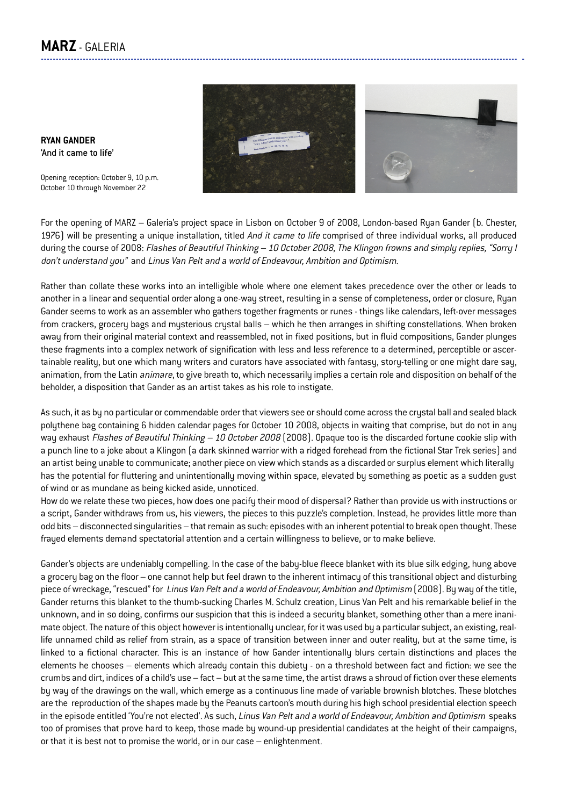

'And it came to life'

**RYAN GANDER**

Opening reception: October 9, 10 p.m. October 10 through November 22

For the opening of MARZ – Galeria's project space in Lisbon on October 9 of 2008, London-based Ryan Gander (b. Chester, 1976) will be presenting a unique installation, titled And it came to life comprised of three individual works, all produced during the course of 2008: Flashes of Beautiful Thinking - 10 October 2008, The Klingon frowns and simply replies, "Sorry I don't understand you" and Linus Van Pelt and a world of Endeavour, Ambition and Optimism.

Rather than collate these works into an intelligible whole where one element takes precedence over the other or leads to another in a linear and sequential order along a one-way street, resulting in a sense of completeness, order or closure, Ryan Gander seems to work as an assembler who gathers together fragments or runes - things like calendars, left-over messages from crackers, grocery bags and mysterious crystal balls – which he then arranges in shifting constellations. When broken away from their original material context and reassembled, not in fixed positions, but in fluid compositions, Gander plunges these fragments into a complex network of signification with less and less reference to a determined, perceptible or ascertainable reality, but one which many writers and curators have associated with fantasy, story-telling or one might dare say, animation, from the Latin *animare*, to give breath to, which necessarily implies a certain role and disposition on behalf of the beholder, a disposition that Gander as an artist takes as his role to instigate.

As such, it as by no particular or commendable order that viewers see or should come across the crystal ball and sealed black polythene bag containing 6 hidden calendar pages for October 10 2008, objects in waiting that comprise, but do not in any way exhaust Flashes of Beautiful Thinking – 10 October 2008 [2008]. Opaque too is the discarded fortune cookie slip with a punch line to a joke about a Klingon (a dark skinned warrior with a ridged forehead from the fictional Star Trek series) and an artist being unable to communicate; another piece on view which stands as a discarded or surplus element which literally has the potential for fluttering and unintentionally moving within space, elevated by something as poetic as a sudden gust of wind or as mundane as being kicked aside, unnoticed.

How do we relate these two pieces, how does one pacify their mood of dispersal? Rather than provide us with instructions or a script, Gander withdraws from us, his viewers, the pieces to this puzzle's completion. Instead, he provides little more than odd bits – disconnected singularities – that remain as such: episodes with an inherent potential to break open thought. These frayed elements demand spectatorial attention and a certain willingness to believe, or to make believe.

Gander's objects are undeniably compelling. In the case of the baby-blue fleece blanket with its blue silk edging, hung above a grocery bag on the floor – one cannot help but feel drawn to the inherent intimacy of this transitional object and disturbing piece of wreckage, "rescued" for Linus Van Pelt and a world of Endeavour, Ambition and Optimism (2008). By way of the title, Gander returns this blanket to the thumb-sucking Charles M. Schulz creation, Linus Van Pelt and his remarkable belief in the unknown, and in so doing, confirms our suspicion that this is indeed a security blanket, something other than a mere inanimate object. The nature of this object however is intentionally unclear, for it was used by a particular subject, an existing, reallife unnamed child as relief from strain, as a space of transition between inner and outer reality, but at the same time, is linked to a fictional character. This is an instance of how Gander intentionally blurs certain distinctions and places the elements he chooses – elements which already contain this dubiety - on a threshold between fact and fiction: we see the crumbs and dirt, indices of a child's use – fact – but at the same time, the artist draws a shroud of fiction over these elements by way of the drawings on the wall, which emerge as a continuous line made of variable brownish blotches. These blotches are the reproduction of the shapes made by the Peanuts cartoon's mouth during his high school presidential election speech in the episode entitled 'You're not elected'. As such, Linus Van Pelt and a world of Endeavour, Ambition and Optimism speaks too of promises that prove hard to keep, those made by wound-up presidential candidates at the height of their campaigns, or that it is best not to promise the world, or in our case – enlightenment.